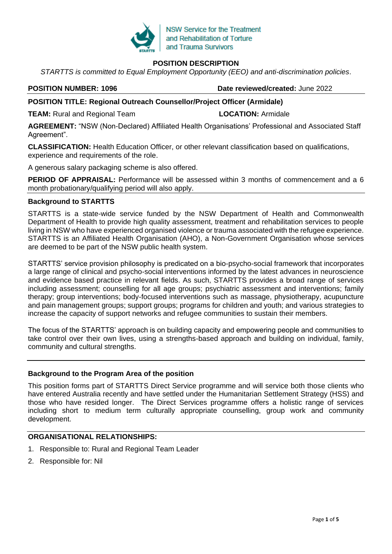

## **POSITION DESCRIPTION**

*STARTTS is committed to Equal Employment Opportunity (EEO) and anti-discrimination policies*.

**POSITION NUMBER: 1096 Date reviewed/created:** June 2022

### **POSITION TITLE: Regional Outreach Counsellor/Project Officer (Armidale)**

**TEAM:** Rural and Regional Team **LOCATION:** Armidale

**AGREEMENT:** "NSW (Non-Declared) Affiliated Health Organisations' Professional and Associated Staff Agreement".

**CLASSIFICATION:** Health Education Officer, or other relevant classification based on qualifications, experience and requirements of the role.

A generous salary packaging scheme is also offered.

**PERIOD OF APPRAISAL:** Performance will be assessed within 3 months of commencement and a 6 month probationary/qualifying period will also apply.

#### **Background to STARTTS**

STARTTS is a state-wide service funded by the NSW Department of Health and Commonwealth Department of Health to provide high quality assessment, treatment and rehabilitation services to people living in NSW who have experienced organised violence or trauma associated with the refugee experience. STARTTS is an Affiliated Health Organisation (AHO), a Non-Government Organisation whose services are deemed to be part of the NSW public health system.

STARTTS' service provision philosophy is predicated on a bio-psycho-social framework that incorporates a large range of clinical and psycho-social interventions informed by the latest advances in neuroscience and evidence based practice in relevant fields. As such, STARTTS provides a broad range of services including assessment; counselling for all age groups; psychiatric assessment and interventions; family therapy; group interventions; body-focused interventions such as massage, physiotherapy, acupuncture and pain management groups; support groups; programs for children and youth; and various strategies to increase the capacity of support networks and refugee communities to sustain their members.

The focus of the STARTTS' approach is on building capacity and empowering people and communities to take control over their own lives, using a strengths-based approach and building on individual, family, community and cultural strengths.

### **Background to the Program Area of the position**

This position forms part of STARTTS Direct Service programme and will service both those clients who have entered Australia recently and have settled under the Humanitarian Settlement Strategy (HSS) and those who have resided longer. The Direct Services programme offers a holistic range of services including short to medium term culturally appropriate counselling, group work and community development.

# **ORGANISATIONAL RELATIONSHIPS:**

- 1. Responsible to: Rural and Regional Team Leader
- 2. Responsible for: Nil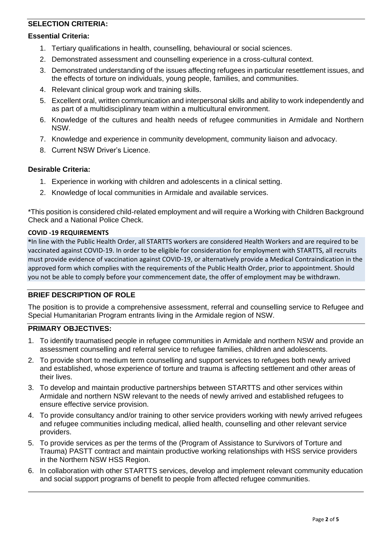# **SELECTION CRITERIA:**

#### **Essential Criteria:**

- 1. Tertiary qualifications in health, counselling, behavioural or social sciences.
- 2. Demonstrated assessment and counselling experience in a cross-cultural context.
- 3. Demonstrated understanding of the issues affecting refugees in particular resettlement issues, and the effects of torture on individuals, young people, families, and communities.
- 4. Relevant clinical group work and training skills.
- 5. Excellent oral, written communication and interpersonal skills and ability to work independently and as part of a multidisciplinary team within a multicultural environment.
- 6. Knowledge of the cultures and health needs of refugee communities in Armidale and Northern NSW.
- 7. Knowledge and experience in community development, community liaison and advocacy.
- 8. Current NSW Driver's Licence.

#### **Desirable Criteria:**

- 1. Experience in working with children and adolescents in a clinical setting.
- 2. Knowledge of local communities in Armidale and available services.

\*This position is considered child-related employment and will require a Working with Children Background Check and a National Police Check.

#### **COVID -19 REQUIREMENTS**

**\***In line with the Public Health Order, all STARTTS workers are considered Health Workers and are required to be vaccinated against COVID-19. In order to be eligible for consideration for employment with STARTTS, all recruits must provide evidence of vaccination against COVID-19, or alternatively provide a Medical Contraindication in the approved form which complies with the requirements of the Public Health Order, prior to appointment. Should you not be able to comply before your commencement date, the offer of employment may be withdrawn.

### **BRIEF DESCRIPTION OF ROLE**

The position is to provide a comprehensive assessment, referral and counselling service to Refugee and Special Humanitarian Program entrants living in the Armidale region of NSW.

# **PRIMARY OBJECTIVES:**

- 1. To identify traumatised people in refugee communities in Armidale and northern NSW and provide an assessment counselling and referral service to refugee families, children and adolescents.
- 2. To provide short to medium term counselling and support services to refugees both newly arrived and established, whose experience of torture and trauma is affecting settlement and other areas of their lives.
- 3. To develop and maintain productive partnerships between STARTTS and other services within Armidale and northern NSW relevant to the needs of newly arrived and established refugees to ensure effective service provision.
- 4. To provide consultancy and/or training to other service providers working with newly arrived refugees and refugee communities including medical, allied health, counselling and other relevant service providers.
- 5. To provide services as per the terms of the (Program of Assistance to Survivors of Torture and Trauma) PASTT contract and maintain productive working relationships with HSS service providers in the Northern NSW HSS Region.
- 6. In collaboration with other STARTTS services, develop and implement relevant community education and social support programs of benefit to people from affected refugee communities.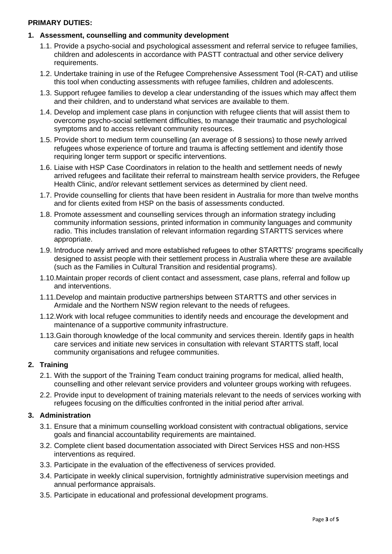#### **PRIMARY DUTIES:**

#### **1. Assessment, counselling and community development**

- 1.1. Provide a psycho-social and psychological assessment and referral service to refugee families, children and adolescents in accordance with PASTT contractual and other service delivery requirements.
- 1.2. Undertake training in use of the Refugee Comprehensive Assessment Tool (R-CAT) and utilise this tool when conducting assessments with refugee families, children and adolescents.
- 1.3. Support refugee families to develop a clear understanding of the issues which may affect them and their children, and to understand what services are available to them.
- 1.4. Develop and implement case plans in conjunction with refugee clients that will assist them to overcome psycho-social settlement difficulties, to manage their traumatic and psychological symptoms and to access relevant community resources.
- 1.5. Provide short to medium term counselling (an average of 8 sessions) to those newly arrived refugees whose experience of torture and trauma is affecting settlement and identify those requiring longer term support or specific interventions.
- 1.6. Liaise with HSP Case Coordinators in relation to the health and settlement needs of newly arrived refugees and facilitate their referral to mainstream health service providers, the Refugee Health Clinic, and/or relevant settlement services as determined by client need.
- 1.7. Provide counselling for clients that have been resident in Australia for more than twelve months and for clients exited from HSP on the basis of assessments conducted.
- 1.8. Promote assessment and counselling services through an information strategy including community information sessions, printed information in community languages and community radio. This includes translation of relevant information regarding STARTTS services where appropriate.
- 1.9. Introduce newly arrived and more established refugees to other STARTTS' programs specifically designed to assist people with their settlement process in Australia where these are available (such as the Families in Cultural Transition and residential programs).
- 1.10.Maintain proper records of client contact and assessment, case plans, referral and follow up and interventions.
- 1.11.Develop and maintain productive partnerships between STARTTS and other services in Armidale and the Northern NSW region relevant to the needs of refugees.
- 1.12.Work with local refugee communities to identify needs and encourage the development and maintenance of a supportive community infrastructure.
- 1.13.Gain thorough knowledge of the local community and services therein. Identify gaps in health care services and initiate new services in consultation with relevant STARTTS staff, local community organisations and refugee communities.

### **2. Training**

- 2.1. With the support of the Training Team conduct training programs for medical, allied health, counselling and other relevant service providers and volunteer groups working with refugees.
- 2.2. Provide input to development of training materials relevant to the needs of services working with refugees focusing on the difficulties confronted in the initial period after arrival.

#### **3. Administration**

- 3.1. Ensure that a minimum counselling workload consistent with contractual obligations, service goals and financial accountability requirements are maintained.
- 3.2. Complete client based documentation associated with Direct Services HSS and non-HSS interventions as required.
- 3.3. Participate in the evaluation of the effectiveness of services provided.
- 3.4. Participate in weekly clinical supervision, fortnightly administrative supervision meetings and annual performance appraisals.
- 3.5. Participate in educational and professional development programs.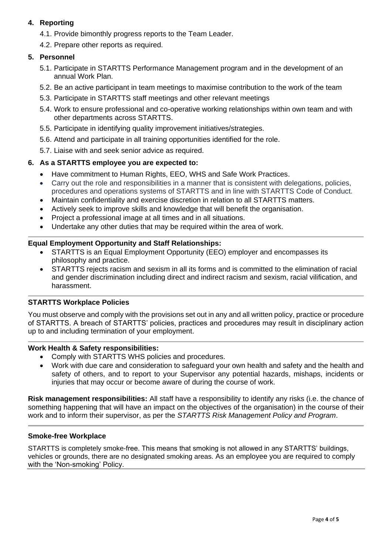# **4. Reporting**

- 4.1. Provide bimonthly progress reports to the Team Leader.
- 4.2. Prepare other reports as required.

# **5. Personnel**

- 5.1. Participate in STARTTS Performance Management program and in the development of an annual Work Plan.
- 5.2. Be an active participant in team meetings to maximise contribution to the work of the team
- 5.3. Participate in STARTTS staff meetings and other relevant meetings
- 5.4. Work to ensure professional and co-operative working relationships within own team and with other departments across STARTTS.
- 5.5. Participate in identifying quality improvement initiatives/strategies.
- 5.6. Attend and participate in all training opportunities identified for the role.
- 5.7. Liaise with and seek senior advice as required.

# **6. As a STARTTS employee you are expected to:**

- Have commitment to Human Rights, EEO, WHS and Safe Work Practices.
- Carry out the role and responsibilities in a manner that is consistent with delegations, policies, procedures and operations systems of STARTTS and in line with STARTTS Code of Conduct.
- Maintain confidentiality and exercise discretion in relation to all STARTTS matters.
- Actively seek to improve skills and knowledge that will benefit the organisation.
- Project a professional image at all times and in all situations.
- Undertake any other duties that may be required within the area of work.

# **Equal Employment Opportunity and Staff Relationships:**

- STARTTS is an Equal Employment Opportunity (EEO) employer and encompasses its philosophy and practice.
- STARTTS rejects racism and sexism in all its forms and is committed to the elimination of racial and gender discrimination including direct and indirect racism and sexism, racial vilification, and harassment.

# **STARTTS Workplace Policies**

You must observe and comply with the provisions set out in any and all written policy, practice or procedure of STARTTS. A breach of STARTTS' policies, practices and procedures may result in disciplinary action up to and including termination of your employment.

# **Work Health & Safety responsibilities:**

- Comply with STARTTS WHS policies and procedures.
- Work with due care and consideration to safeguard your own health and safety and the health and safety of others, and to report to your Supervisor any potential hazards, mishaps, incidents or injuries that may occur or become aware of during the course of work.

**Risk management responsibilities:** All staff have a responsibility to identify any risks (i.e. the chance of something happening that will have an impact on the objectives of the organisation) in the course of their work and to inform their supervisor, as per the *STARTTS Risk Management Policy and Program*.

### **Smoke-free Workplace**

STARTTS is completely smoke-free. This means that smoking is not allowed in any STARTTS' buildings, vehicles or grounds, there are no designated smoking areas. As an employee you are required to comply with the 'Non-smoking' Policy.